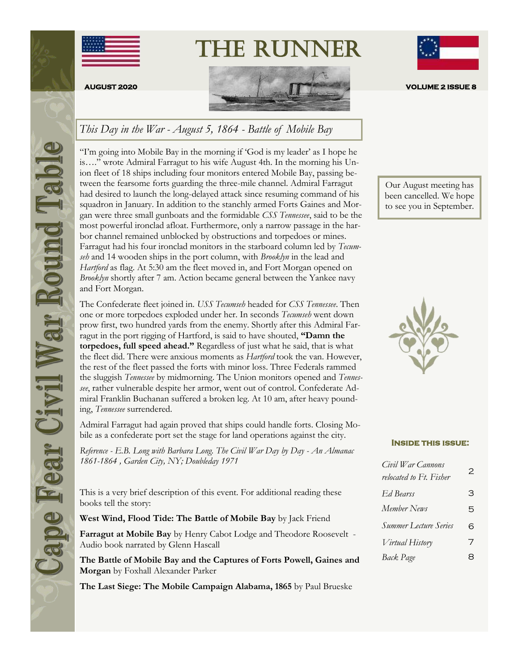



The Runner

## *This Day in the War - August 5, 1864 - Battle of Mobile Bay*

"I'm going into Mobile Bay in the morning if 'God is my leader' as I hope he is…." wrote Admiral Farragut to his wife August 4th. In the morning his Union fleet of 18 ships including four monitors entered Mobile Bay, passing between the fearsome forts guarding the three-mile channel. Admiral Farragut had desired to launch the long-delayed attack since resuming command of his squadron in January. In addition to the stanchly armed Forts Gaines and Morgan were three small gunboats and the formidable *CSS Tennessee*, said to be the most powerful ironclad afloat. Furthermore, only a narrow passage in the harbor channel remained unblocked by obstructions and torpedoes or mines. Farragut had his four ironclad monitors in the starboard column led by *Tecumseh* and 14 wooden ships in the port column, with *Brooklyn* in the lead and *Hartford* as flag. At 5:30 am the fleet moved in, and Fort Morgan opened on *Brooklyn* shortly after 7 am. Action became general between the Yankee navy and Fort Morgan.

The Confederate fleet joined in. *USS Tecumseh* headed for *CSS Tennessee*. Then one or more torpedoes exploded under her. In seconds *Tecumseh* went down prow first, two hundred yards from the enemy. Shortly after this Admiral Farragut in the port rigging of Hartford, is said to have shouted, **"Damn the torpedoes, full speed ahead."** Regardless of just what he said, that is what the fleet did. There were anxious moments as *Hartford* took the van. However, the rest of the fleet passed the forts with minor loss. Three Federals rammed the sluggish *Tennessee* by midmorning. The Union monitors opened and *Tennessee*, rather vulnerable despite her armor, went out of control. Confederate Admiral Franklin Buchanan suffered a broken leg. At 10 am, after heavy pounding, *Tennessee* surrendered.

Admiral Farragut had again proved that ships could handle forts. Closing Mobile as a confederate port set the stage for land operations against the city.

*Reference - E.B. Long with Barbara Long. The Civil War Day by Day - An Almanac 1861-1864 , Garden City, NY; Doubleday 1971* 

This is a very brief description of this event. For additional reading these books tell the story:

**West Wind, Flood Tide: The Battle of Mobile Bay** by Jack Friend

**Farragut at Mobile Bay** by Henry Cabot Lodge and Theodore Roosevelt - Audio book narrated by Glenn Hascall

**The Battle of Mobile Bay and the Captures of Forts Powell, Gaines and Morgan** by Foxhall Alexander Parker

**The Last Siege: The Mobile Campaign Alabama, 1865** by Paul Brueske



been cancelled. We hope to see you in September.

#### **Inside this issue:**

| Civil War Cannons<br>relocated to Ft. Fisher | 2 |
|----------------------------------------------|---|
| Ed Bearss                                    | З |
| Member News                                  | 5 |
| <b>Summer Lecture Series</b>                 | 6 |
| Virtual History                              | 7 |
| Back Page                                    | Я |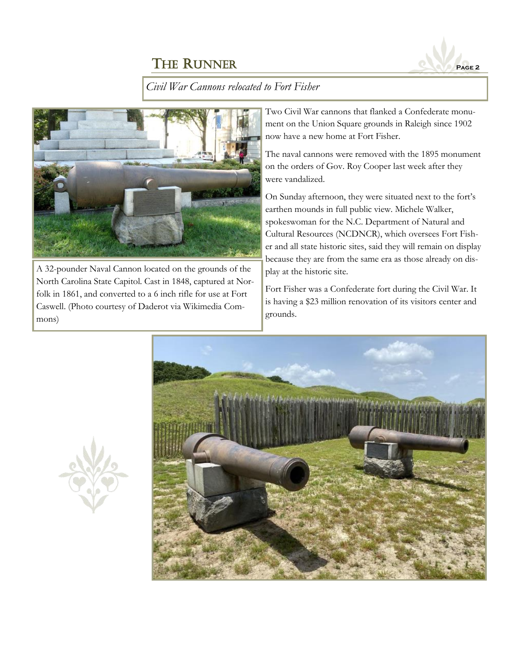

*Civil War Cannons relocated to Fort Fisher*



A 32-pounder Naval Cannon located on the grounds of the North Carolina State Capitol. Cast in 1848, captured at Norfolk in 1861, and converted to a 6 inch rifle for use at Fort Caswell. (Photo courtesy of Daderot via Wikimedia Commons)

Two Civil War cannons that flanked a Confederate monument on the Union Square grounds in Raleigh since 1902 now have a new home at Fort Fisher.

The naval cannons were removed with the 1895 monument on the orders of Gov. Roy Cooper last week after they were vandalized.

On Sunday afternoon, they were situated next to the fort's earthen mounds in full public view. Michele Walker, spokeswoman for the N.C. Department of Natural and Cultural Resources (NCDNCR), which oversees Fort Fisher and all state historic sites, said they will remain on display because they are from the same era as those already on display at the historic site.

Fort Fisher was a Confederate fort during the Civil War. It is having a \$23 million renovation of its visitors center and grounds.



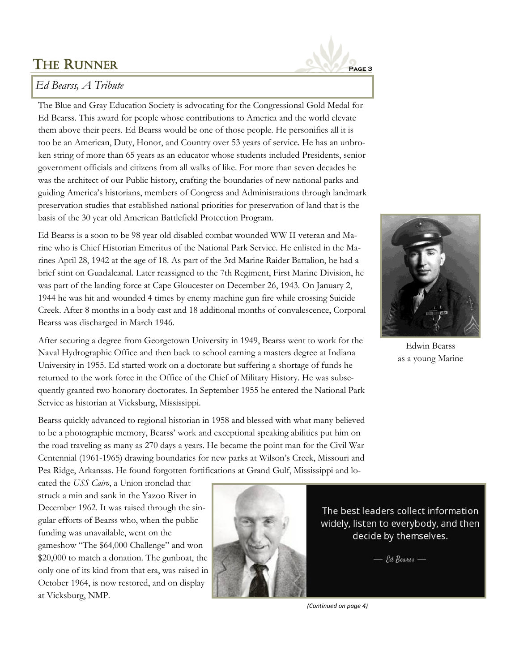

## *Ed Bearss, A Tribute*

The Blue and Gray Education Society is advocating for the Congressional Gold Medal for Ed Bearss. This award for people whose contributions to America and the world elevate them above their peers. Ed Bearss would be one of those people. He personifies all it is too be an American, Duty, Honor, and Country over 53 years of service. He has an unbroken string of more than 65 years as an educator whose students included Presidents, senior government officials and citizens from all walks of like. For more than seven decades he was the architect of our Public history, crafting the boundaries of new national parks and guiding America's historians, members of Congress and Administrations through landmark preservation studies that established national priorities for preservation of land that is the basis of the 30 year old American Battlefield Protection Program.

Ed Bearss is a soon to be 98 year old disabled combat wounded WW II veteran and Marine who is Chief Historian Emeritus of the National Park Service. He enlisted in the Marines April 28, 1942 at the age of 18. As part of the 3rd Marine Raider Battalion, he had a brief stint on Guadalcanal. Later reassigned to the 7th Regiment, First Marine Division, he was part of the landing force at Cape Gloucester on December 26, 1943. On January 2, 1944 he was hit and wounded 4 times by enemy machine gun fire while crossing Suicide Creek. After 8 months in a body cast and 18 additional months of convalescence, Corporal Bearss was discharged in March 1946.



Edwin Bearss as a young Marine

After securing a degree from Georgetown University in 1949, Bearss went to work for the Naval Hydrographic Office and then back to school earning a masters degree at Indiana University in 1955. Ed started work on a doctorate but suffering a shortage of funds he returned to the work force in the Office of the Chief of Military History. He was subsequently granted two honorary doctorates. In September 1955 he entered the National Park Service as historian at Vicksburg, Mississippi.

Bearss quickly advanced to regional historian in 1958 and blessed with what many believed to be a photographic memory, Bearss' work and exceptional speaking abilities put him on the road traveling as many as 270 days a years. He became the point man for the Civil War Centennial (1961-1965) drawing boundaries for new parks at Wilson's Creek, Missouri and Pea Ridge, Arkansas. He found forgotten fortifications at Grand Gulf, Mississippi and lo-

cated the *USS Cairo*, a Union ironclad that struck a min and sank in the Yazoo River in December 1962. It was raised through the singular efforts of Bearss who, when the public funding was unavailable, went on the gameshow "The \$64,000 Challenge" and won \$20,000 to match a donation. The gunboat, the only one of its kind from that era, was raised in October 1964, is now restored, and on display at Vicksburg, NMP.



The best leaders collect information widely, listen to everybody, and then decide by themselves.

 $-$  Ed Bearss  $-$ 

*(Continued on page 4)*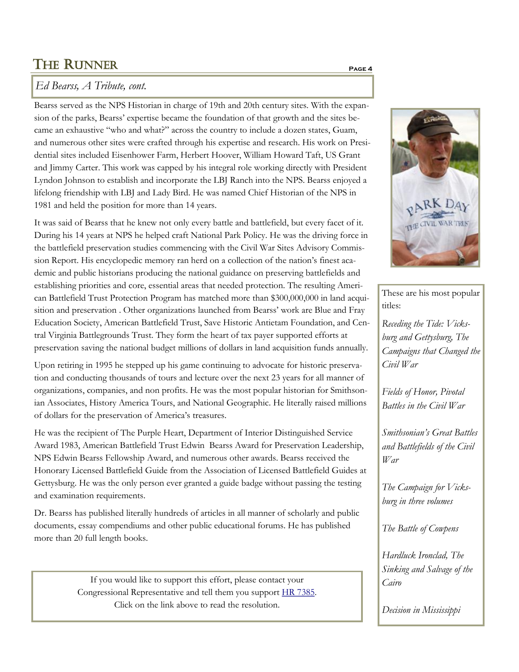## *Ed Bearss, A Tribute, cont.*

Bearss served as the NPS Historian in charge of 19th and 20th century sites. With the expansion of the parks, Bearss' expertise became the foundation of that growth and the sites became an exhaustive "who and what?" across the country to include a dozen states, Guam, and numerous other sites were crafted through his expertise and research. His work on Presidential sites included Eisenhower Farm, Herbert Hoover, William Howard Taft, US Grant and Jimmy Carter. This work was capped by his integral role working directly with President Lyndon Johnson to establish and incorporate the LBJ Ranch into the NPS. Bearss enjoyed a lifelong friendship with LBJ and Lady Bird. He was named Chief Historian of the NPS in 1981 and held the position for more than 14 years.

It was said of Bearss that he knew not only every battle and battlefield, but every facet of it. During his 14 years at NPS he helped craft National Park Policy. He was the driving force in the battlefield preservation studies commencing with the Civil War Sites Advisory Commission Report. His encyclopedic memory ran herd on a collection of the nation's finest academic and public historians producing the national guidance on preserving battlefields and establishing priorities and core, essential areas that needed protection. The resulting American Battlefield Trust Protection Program has matched more than \$300,000,000 in land acquisition and preservation . Other organizations launched from Bearss' work are Blue and Fray Education Society, American Battlefield Trust, Save Historic Antietam Foundation, and Central Virginia Battlegrounds Trust. They form the heart of tax payer supported efforts at preservation saving the national budget millions of dollars in land acquisition funds annually.

Upon retiring in 1995 he stepped up his game continuing to advocate for historic preservation and conducting thousands of tours and lecture over the next 23 years for all manner of organizations, companies, and non profits. He was the most popular historian for Smithsonian Associates, History America Tours, and National Geographic. He literally raised millions of dollars for the preservation of America's treasures.

He was the recipient of The Purple Heart, Department of Interior Distinguished Service Award 1983, American Battlefield Trust Edwin Bearss Award for Preservation Leadership, NPS Edwin Bearss Fellowship Award, and numerous other awards. Bearss received the Honorary Licensed Battlefield Guide from the Association of Licensed Battlefield Guides at Gettysburg. He was the only person ever granted a guide badge without passing the testing and examination requirements.

Dr. Bearss has published literally hundreds of articles in all manner of scholarly and public documents, essay compendiums and other public educational forums. He has published more than 20 full length books.

> If you would like to support this effort, please contact your Congressional Representative and tell them you support [HR 7385.](https://www.congress.gov/bill/116th-congress/house-bill/7385?s=1&r=10) Click on the link above to read the resolution.



These are his most popular titles:

*Receding the Tide: Vicksburg and Gettysburg, The Campaigns that Changed the Civil War*

*Fields of Honor, Pivotal Battles in the Civil War*

*Smithsonian's Great Battles and Battlefields of the Civil War*

*The Campaign for Vicksburg in three volumes*

*The Battle of Cowpens*

*Hardluck Ironclad, The Sinking and Salvage of the Cairo*

*Decision in Mississippi*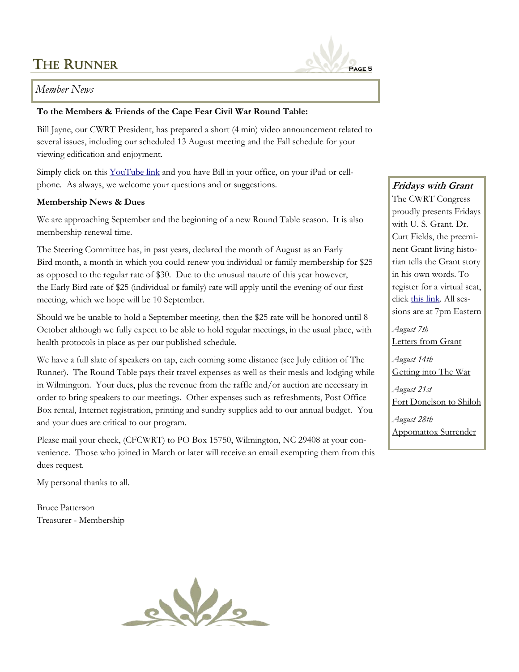

#### *Member News*

#### **To the Members & Friends of the Cape Fear Civil War Round Table:**

Bill Jayne, our CWRT President, has prepared a short (4 min) video announcement related to several issues, including our scheduled 13 August meeting and the Fall schedule for your viewing edification and enjoyment.

Simply click on this [YouTube link](https://youtu.be/UVjgoK_HlGE) and you have Bill in your office, on your iPad or cellphone. As always, we welcome your questions and or suggestions.

#### **Membership News & Dues**

We are approaching September and the beginning of a new Round Table season. It is also membership renewal time.

The Steering Committee has, in past years, declared the month of August as an Early Bird month, a month in which you could renew you individual or family membership for \$25 as opposed to the regular rate of \$30. Due to the unusual nature of this year however, the Early Bird rate of \$25 (individual or family) rate will apply until the evening of our first meeting, which we hope will be 10 September.

Should we be unable to hold a September meeting, then the \$25 rate will be honored until 8 October although we fully expect to be able to hold regular meetings, in the usual place, with health protocols in place as per our published schedule.

We have a full slate of speakers on tap, each coming some distance (see July edition of The Runner). The Round Table pays their travel expenses as well as their meals and lodging while in Wilmington. Your dues, plus the revenue from the raffle and/or auction are necessary in order to bring speakers to our meetings. Other expenses such as refreshments, Post Office Box rental, Internet registration, printing and sundry supplies add to our annual budget. You and your dues are critical to our program.

Please mail your check, (CFCWRT) to PO Box 15750, Wilmington, NC 29408 at your convenience. Those who joined in March or later will receive an email exempting them from this dues request.

My personal thanks to all.

Bruce Patterson Treasurer - Membership



## **Fridays with Grant**

The CWRT Congress proudly presents Fridays with U. S. Grant. Dr. Curt Fields, the preeminent Grant living historian tells the Grant story in his own words. To register for a virtual seat, click [this link.](http://www.cwrtcongress.org/grant.html) All sessions are at 7pm Eastern

*August 7th*  Letters from Grant

*August 14th* Getting into The War

*August 21st* Fort Donelson to Shiloh

*August 28th* Appomattox Surrender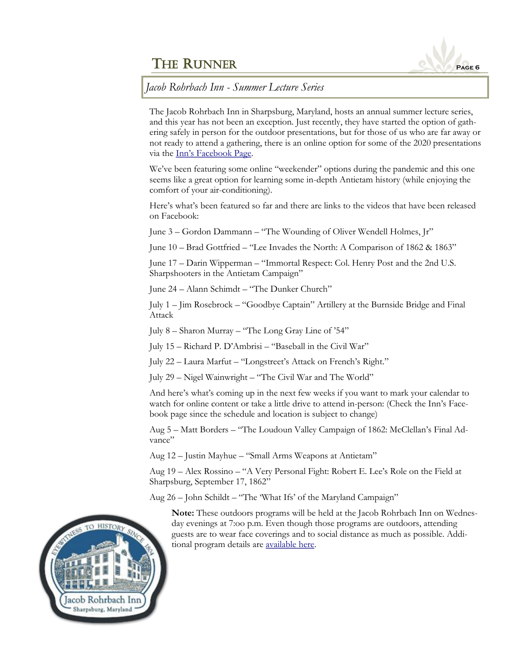

*Jacob Rohrbach Inn - Summer Lecture Series*

The Jacob Rohrbach Inn in Sharpsburg, Maryland, hosts an annual summer lecture series, and this year has not been an exception. Just recently, they have started the option of gathering safely in person for the outdoor presentations, but for those of us who are far away or not ready to attend a gathering, there is an online option for some of the 2020 presentations via the [Inn's Facebook Page](https://www.facebook.com/JacobRohrbachInn/).

We've been featuring some online "weekender" options during the pandemic and this one seems like a great option for learning some in-depth Antietam history (while enjoying the comfort of your air-conditioning).

Here's what's been featured so far and there are links to the videos that have been released on Facebook:

June 3 – Gordon Dammann – "The Wounding of Oliver Wendell Holmes, Jr"

June 10 – Brad Gottfried – "Lee Invades the North: A Comparison of 1862 & 1863"

June 17 – Darin Wipperman – "Immortal Respect: Col. Henry Post and the 2nd U.S. Sharpshooters in the Antietam Campaign"

June 24 – Alann Schimdt – "The Dunker Church"

July 1 – Jim Rosebrock – "Goodbye Captain" Artillery at the Burnside Bridge and Final Attack

July 8 – Sharon Murray – "The Long Gray Line of '54"

July 15 – Richard P. D'Ambrisi – "Baseball in the Civil War"

July 22 – Laura Marfut – "Longstreet's Attack on French's Right."

July 29 – Nigel Wainwright – "The Civil War and The World"

And here's what's coming up in the next few weeks if you want to mark your calendar to watch for online content or take a little drive to attend in-person: (Check the Inn's Facebook page since the schedule and location is subject to change)

Aug 5 – Matt Borders – "The Loudoun Valley Campaign of 1862: McClellan's Final Advance"

Aug 12 – Justin Mayhue – "Small Arms Weapons at Antietam"

Aug 19 – Alex Rossino – "A Very Personal Fight: Robert E. Lee's Role on the Field at Sharpsburg, September 17, 1862"

Aug 26 – John Schildt – "The 'What Ifs' of the Maryland Campaign"

**Note:** These outdoors programs will be held at the Jacob Rohrbach Inn on Wednesday evenings at 7:oo p.m. Even though those programs are outdoors, attending guests are to wear face coverings and to social distance as much as possible. Additional program details are [available here.](https://jacob-rohrbach-inn.com/blog/category/civil-war-lecture-series/)

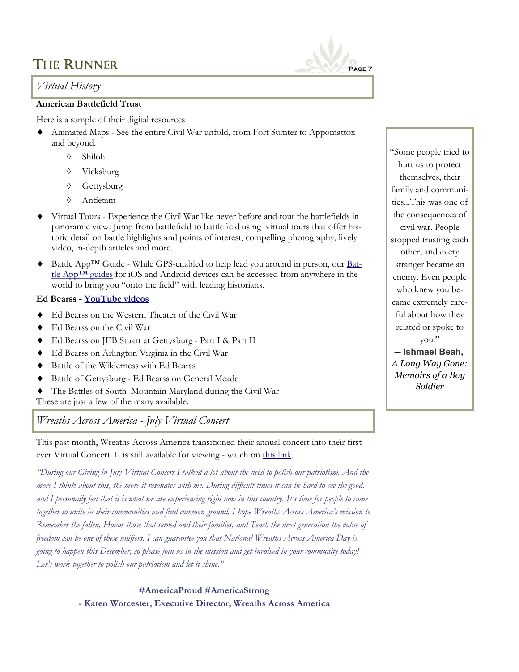## *Virtual History*

#### **American Battlefield Trust**

Here is a sample of their digital resources

- Animated Maps See the entire Civil War unfold, from Fort Sumter to Appomattox and beyond.
	- Shiloh
	- Vicksburg
	- Gettysburg
	- Antietam
- Virtual Tours Experience the Civil War like never before and tour the battlefields in panoramic view. Jump from battlefield to battlefield using virtual tours that offer historic detail on battle highlights and points of interest, compelling photography, lively video, in-depth articles and more.
- Battle App™ Guide While GPS-enabled to help lead you around in person, our [Bat](https://www.battlefields.org/visit/mobile-apps?fbclid=IwAR0dRH7VAvZuVPB23TIHuCTu5c695_DvcVHGMo4NsiY2o9zv6gvOqKSfHjw)tle App<sup>™</sup> guides for iOS and Android devices can be accessed from anywhere in the world to bring you "onto the field" with leading historians.

#### **Ed Bearss - [YouTube videos](https://www.youtube.com/results?search_query=ed+bearss+civil+war+historian)**

- Ed Bearss on the Western Theater of the Civil War
- ◆ Ed Bearss on the Civil War
- Ed Bearss on JEB Stuart at Gettysburg Part I & Part II
- Ed Bearss on Arlington Virginia in the Civil War
- Battle of the Wilderness with Ed Bearss
- Battle of Gettysburg Ed Bearss on General Meade
- The Battles of South Mountain Maryland during the Civil War
- These are just a few of the many available.

*Wreaths Across America - July Virtual Concert*

This past month, Wreaths Across America transitioned their annual concert into their first ever Virtual Concert. It is still available for viewing - watch on [this link.](https://wreathsacrossamerica.org/)

*"During our Giving in July Virtual Concert I talked a lot about the need to polish our patriotism. And the more I think about this, the more it resonates with me. During difficult times it can be hard to see the good,*  and I personally feel that it is what we are experiencing right now in this country. It's time for people to come *together to unite in their communities and find common ground. I hope Wreaths Across America's mission to Remember the fallen, Honor those that served and their families, and Teach the next generation the value of freedom can be one of these unifiers. I can guarantee you that National Wreaths Across America Day is going to happen this December, so please join us in the mission and get involved in your community today! Let's work together to polish our patriotism and let it shine."*

> **#AmericaProud #AmericaStrong - Karen Worcester, Executive Director, Wreaths Across America**

"Some people tried to hurt us to protect themselves, their family and communities...This was one of the consequences of civil war. People stopped trusting each other, and every stranger became an enemy. Even people who knew you became extremely careful about how they related or spoke to you." ― **Ishmael Beah,** *A Long Way Gone:* 

*Memoirs of a Boy Soldier*